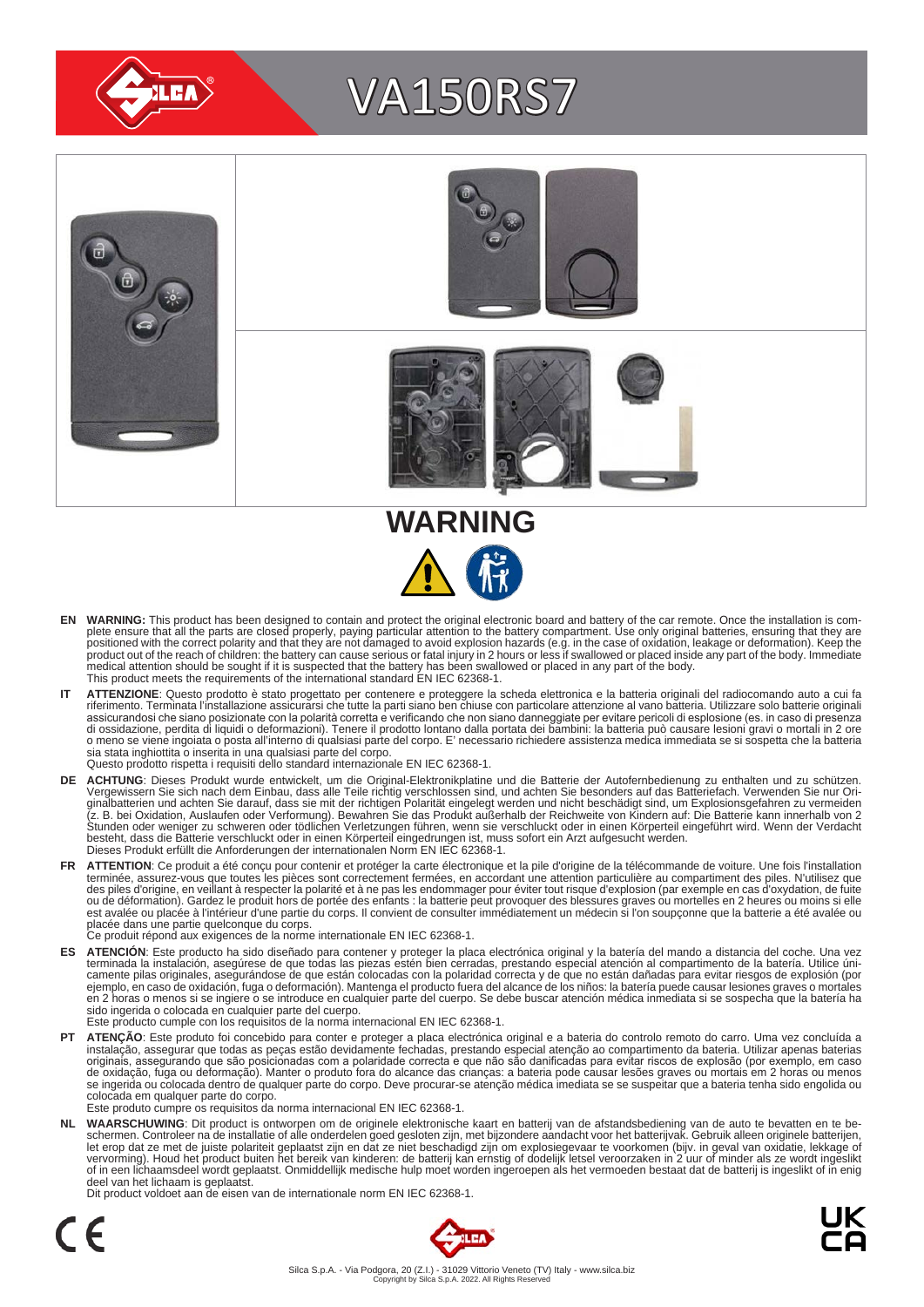

# VA150RS7



**WARNING**

- EN WARNING: This product has been designed to contain and protect the original electronic board and battery of the car remote. Once the installation is com-<br>plete ensure that all the parts are closed properly, paying parti positioned with the correct polarity and that they are not damaged to avoid explosion hazards (e.g. in the case of oxidation, leakage or deformation). Keep the<br>product out of the reach of children: the battery can cause se medical attention should be sought if it is suspected that the battery has been swallowed or placed in any part of the body. This product meets the requirements of the international standard EN IEC 62368-1.
- IT ATTENZIONE: Questo prodotto è stato progettato per contenere e proteggere la scheda elettronica e la batteria originali del radiocomando auto a cui fa<br>riferimento. Terminata l'installazione assicurarsi che tutte la part assicurandosi che siano posizionate con la polarità corretta e verificando che non siano danneggiate per evitare pericoli di esplosione (es. in caso di presenza<br>di ossidazione, perdita di liquidi o deformazioni). Tenere il sia stata inghiottita o inserita in una qualsiasi parte del corpo. Questo prodotto rispetta i requisiti dello standard internazionale EN IEC 62368-1.
- **DE ACHTUNG**: Dieses Produkt wurde entwickelt, um die Original-Elektronikplatine und die Batterie der Autofernbedienung zu enthalten und zu schützen.<br>Vergewissern Sie sich nach dem Einbau, dass alle Teile richtig verschlos besteht, dass die Batterie verschluckt oder in einen Körperteil eingedrungen ist, muss sofort ein Arzt aufgesucht werden.<br>Dieses Produkt erfüllt die Anforderungen der internationalen Norm EN IEC 62368-1.
- FR ATTENTION: Ce produit a été conçu pour contenir et protéger la carte électronique et la pile d'origine de la télécommande de voiture. Une fois l'installation terminée, assurez-vous que toutes les pièces sont correctement fermées, en accordant une attention particulière au compartiment des piles. N'utilisez que<br>des piles d'origine, en veillant à respecter la polarité et à ne pas est avalée ou placée à l'intérieur d'une partie du corps. Il convient de consulter immédiatement un médecin si l'on soupçonne que la batterie a été avalée ou<br>placée dans une partie quelconque du corps.<br>Ce produit répond au
	-
- ES ATENCION: Este producto ha sido diseñado para contener y proteger la placa electrónica original y la batería del mando a distancia del coche. Una vez<br>-terminada la instalación, asegúrese de que todas las piezas estén bi camente pilas originales, asegurándose de que están colocadas con la polaridad correcta y de que no están dañadas para evitar riesgos de explosión (por<br>ejemplo, en caso de oxidación, fuga o deformación). Mantenga el produc sido ingerida o colocada en cualquier parte del cuerpo.
- Este producto cumple con los requisitos de la norma internacional EN IEC 62368-1.
- **PT ATENÇÃO**: Este produto foi concebido para conter e proteger a placa electrónica original e a bateria do controlo remoto do carro. Uma vez concluída a instalação, assegurar que todas as peças estão devidamente fechadas, prestando especial atenção ao compartimento da bateria. Utilizar apenas baterias<br>originais, assegurando que são posicionadas com a polaridade correcta e colocada em qualquer parte do corpo. Este produto cumpre os requisitos da norma internacional EN IEC 62368-1.

NL WAARSCHUWING: Dit product is ontworpen om de originele elektronische kaart en batterij van de afstandsbediening van de auto te bevatten en te be-<br>schermen. Controleer na de installatie of alle onderdelen goed gesloten z of in een lichaamsdeel wordt geplaatst. Onmiddellijk medische hulp moet worden ingeroepen als het vermoeden bestaat dat de batterij is ingeslikt of in enig deel van het lichaam is geplaatst.

Dit product voldoet aan de eisen van de internationale norm EN IEC 62368-1.